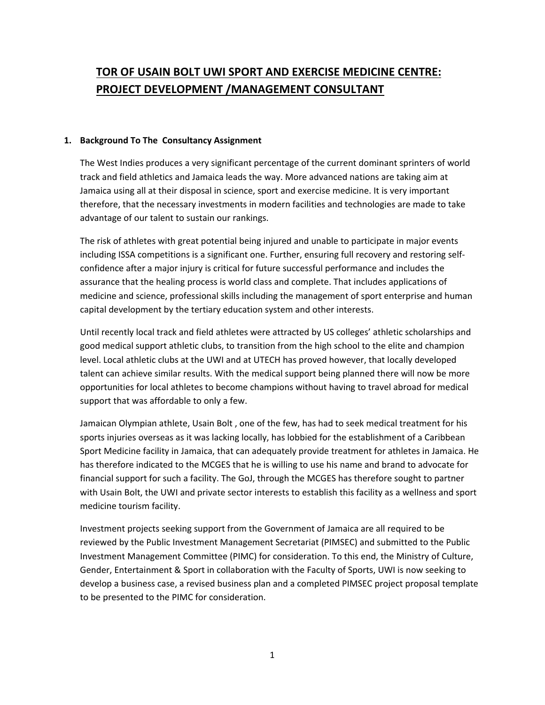# **TOR OF USAIN BOLT UWI SPORT AND EXERCISE MEDICINE CENTRE: PROJECT DEVELOPMENT /MANAGEMENT CONSULTANT**

#### **1. Background To The Consultancy Assignment**

The West Indies produces a very significant percentage of the current dominant sprinters of world track and field athletics and Jamaica leads the way. More advanced nations are taking aim at Jamaica using all at their disposal in science, sport and exercise medicine. It is very important therefore, that the necessary investments in modern facilities and technologies are made to take advantage of our talent to sustain our rankings.

The risk of athletes with great potential being injured and unable to participate in major events including ISSA competitions is a significant one. Further, ensuring full recovery and restoring selfconfidence after a major injury is critical for future successful performance and includes the assurance that the healing process is world class and complete. That includes applications of medicine and science, professional skills including the management of sport enterprise and human capital development by the tertiary education system and other interests.

Until recently local track and field athletes were attracted by US colleges' athletic scholarships and good medical support athletic clubs, to transition from the high school to the elite and champion level. Local athletic clubs at the UWI and at UTECH has proved however, that locally developed talent can achieve similar results. With the medical support being planned there will now be more opportunities for local athletes to become champions without having to travel abroad for medical support that was affordable to only a few.

Jamaican Olympian athlete, Usain Bolt , one of the few, has had to seek medical treatment for his sports injuries overseas as it was lacking locally, has lobbied for the establishment of a Caribbean Sport Medicine facility in Jamaica, that can adequately provide treatment for athletes in Jamaica. He has therefore indicated to the MCGES that he is willing to use his name and brand to advocate for financial support for such a facility. The GoJ, through the MCGES has therefore sought to partner with Usain Bolt, the UWI and private sector interests to establish this facility as a wellness and sport medicine tourism facility.

Investment projects seeking support from the Government of Jamaica are all required to be reviewed by the Public Investment Management Secretariat (PIMSEC) and submitted to the Public Investment Management Committee (PIMC) for consideration. To this end, the Ministry of Culture, Gender, Entertainment & Sport in collaboration with the Faculty of Sports, UWI is now seeking to develop a business case, a revised business plan and a completed PIMSEC project proposal template to be presented to the PIMC for consideration.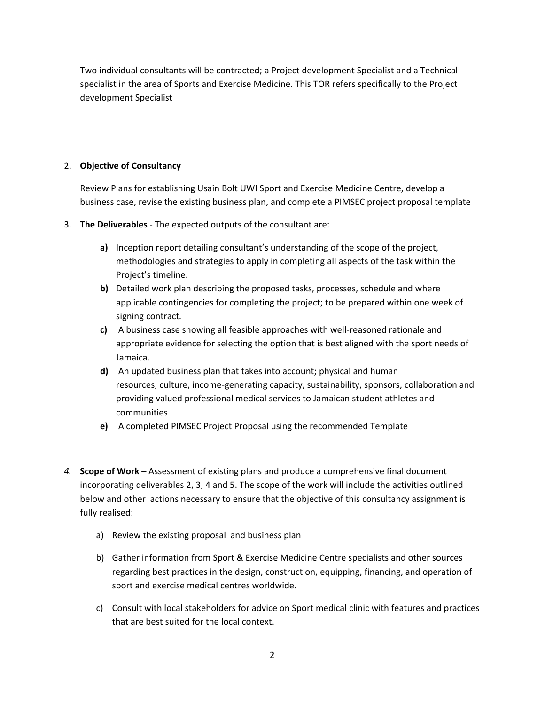Two individual consultants will be contracted; a Project development Specialist and a Technical specialist in the area of Sports and Exercise Medicine. This TOR refers specifically to the Project development Specialist

## 2. **Objective of Consultancy**

Review Plans for establishing Usain Bolt UWI Sport and Exercise Medicine Centre, develop a business case, revise the existing business plan, and complete a PIMSEC project proposal template

- 3. **The Deliverables** ‐ The expected outputs of the consultant are:
	- **a)** Inception report detailing consultant's understanding of the scope of the project, methodologies and strategies to apply in completing all aspects of the task within the Project's timeline.
	- **b)** Detailed work plan describing the proposed tasks, processes, schedule and where applicable contingencies for completing the project; to be prepared within one week of signing contract*.*
	- **c)** A business case showing all feasible approaches with well‐reasoned rationale and appropriate evidence for selecting the option that is best aligned with the sport needs of Jamaica.
	- **d)** An updated business plan that takes into account; physical and human resources, culture, income‐generating capacity, sustainability, sponsors, collaboration and providing valued professional medical services to Jamaican student athletes and communities
	- **e)** A completed PIMSEC Project Proposal using the recommended Template
- *4.* **Scope of Work** *–* Assessment of existing plans and produce a comprehensive final document incorporating deliverables 2, 3, 4 and 5. The scope of the work will include the activities outlined below and other actions necessary to ensure that the objective of this consultancy assignment is fully realised:
	- a) Review the existing proposal and business plan
	- b) Gather information from Sport & Exercise Medicine Centre specialists and other sources regarding best practices in the design, construction, equipping, financing, and operation of sport and exercise medical centres worldwide.
	- c) Consult with local stakeholders for advice on Sport medical clinic with features and practices that are best suited for the local context.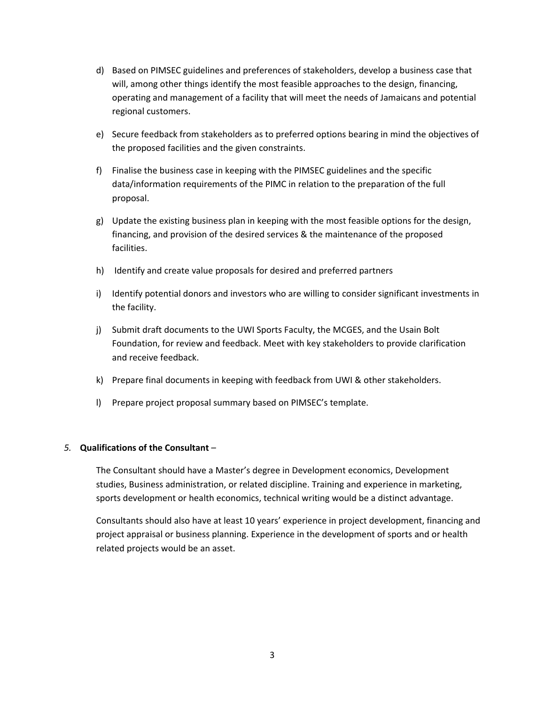- d) Based on PIMSEC guidelines and preferences of stakeholders, develop a business case that will, among other things identify the most feasible approaches to the design, financing, operating and management of a facility that will meet the needs of Jamaicans and potential regional customers.
- e) Secure feedback from stakeholders as to preferred options bearing in mind the objectives of the proposed facilities and the given constraints.
- f) Finalise the business case in keeping with the PIMSEC guidelines and the specific data/information requirements of the PIMC in relation to the preparation of the full proposal.
- g) Update the existing business plan in keeping with the most feasible options for the design, financing, and provision of the desired services & the maintenance of the proposed facilities.
- h) Identify and create value proposals for desired and preferred partners
- i) Identify potential donors and investors who are willing to consider significant investments in the facility.
- j) Submit draft documents to the UWI Sports Faculty, the MCGES, and the Usain Bolt Foundation, for review and feedback. Meet with key stakeholders to provide clarification and receive feedback.
- k) Prepare final documents in keeping with feedback from UWI & other stakeholders.
- l) Prepare project proposal summary based on PIMSEC's template.

## *5.* **Qualifications of the Consultant** *–*

The Consultant should have a Master's degree in Development economics, Development studies, Business administration, or related discipline. Training and experience in marketing, sports development or health economics, technical writing would be a distinct advantage.

Consultants should also have at least 10 years' experience in project development, financing and project appraisal or business planning. Experience in the development of sports and or health related projects would be an asset.